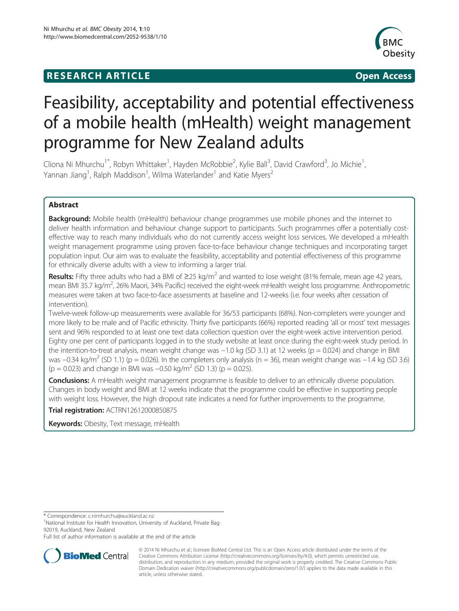## **RESEARCH ARTICLE Example 2008 CONSIDERING CONSIDERING CONSIDERING CONSIDERING CONSIDERING CONSIDERING CONSIDERING CONSIDERING CONSIDERING CONSIDERING CONSIDERING CONSIDERING CONSIDERING CONSIDERING CONSIDERING CONSIDE**



# Feasibility, acceptability and potential effectiveness of a mobile health (mHealth) weight management programme for New Zealand adults

Cliona Ni Mhurchu<sup>1\*</sup>, Robyn Whittaker<sup>1</sup>, Hayden McRobbie<sup>2</sup>, Kylie Ball<sup>3</sup>, David Crawford<sup>3</sup>, Jo Michie<sup>1</sup> , Yannan Jiang<sup>1</sup>, Ralph Maddison<sup>1</sup>, Wilma Waterlander<sup>1</sup> and Katie Myers<sup>2</sup>

## Abstract

**Background:** Mobile health (mHealth) behaviour change programmes use mobile phones and the internet to deliver health information and behaviour change support to participants. Such programmes offer a potentially costeffective way to reach many individuals who do not currently access weight loss services. We developed a mHealth weight management programme using proven face-to-face behaviour change techniques and incorporating target population input. Our aim was to evaluate the feasibility, acceptability and potential effectiveness of this programme for ethnically diverse adults with a view to informing a larger trial.

**Results:** Fifty three adults who had a BMI of  $\geq$ 25 kg/m<sup>2</sup> and wanted to lose weight (81% female, mean age 42 years, mean BMI 35.7 kg/m<sup>2</sup>, 26% Maori, 34% Pacific) received the eight-week mHealth weight loss programme. Anthropometric measures were taken at two face-to-face assessments at baseline and 12-weeks (i.e. four weeks after cessation of intervention).

Twelve-week follow-up measurements were available for 36/53 participants (68%). Non-completers were younger and more likely to be male and of Pacific ethnicity. Thirty five participants (66%) reported reading 'all or most' text messages sent and 96% responded to at least one text data collection question over the eight-week active intervention period. Eighty one per cent of participants logged in to the study website at least once during the eight-week study period. In the intention-to-treat analysis, mean weight change was −1.0 kg (SD 3.1) at 12 weeks (p = 0.024) and change in BMI was −0.34 kg/m<sup>2</sup> (SD 1.1) (p = 0.026). In the completers only analysis (n = 36), mean weight change was −1.4 kg (SD 3.6) (p = 0.023) and change in BMI was  $-0.50$  kg/m<sup>2</sup> (SD 1.3) (p = 0.025).

Conclusions: A mHealth weight management programme is feasible to deliver to an ethnically diverse population. Changes in body weight and BMI at 12 weeks indicate that the programme could be effective in supporting people with weight loss. However, the high dropout rate indicates a need for further improvements to the programme.

Trial registration: [ACTRN12612000850875](https://www.anzctr.org.au/Trial/Registration/TrialReview.aspx?id=362287)

Keywords: Obesity, Text message, mHealth

<sup>1</sup>National Institute for Health Innovation, University of Auckland, Private Bag 92019, Auckland, New Zealand

Full list of author information is available at the end of the article



<sup>© 2014</sup> Ni Mhurchu et al.; licensee BioMed Central Ltd. This is an Open Access article distributed under the terms of the Creative Commons Attribution License (<http://creativecommons.org/licenses/by/4.0>), which permits unrestricted use, distribution, and reproduction in any medium, provided the original work is properly credited. The Creative Commons Public Domain Dedication waiver [\(http://creativecommons.org/publicdomain/zero/1.0/\)](http://creativecommons.org/publicdomain/zero/1.0/) applies to the data made available in this article, unless otherwise stated.

<sup>\*</sup> Correspondence: [c.nimhurchu@auckland.ac.nz](mailto:c.nimhurchu@auckland.ac.nz) <sup>1</sup>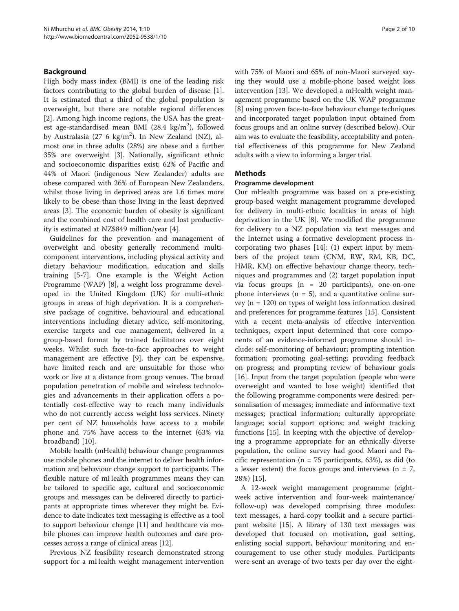## Background

High body mass index (BMI) is one of the leading risk factors contributing to the global burden of disease [\[1](#page-9-0)]. It is estimated that a third of the global population is overweight, but there are notable regional differences [[2\]](#page-9-0). Among high income regions, the USA has the greatest age-standardised mean BMI (28.4 kg/m<sup>2</sup>), followed by Australasia (27 6 kg/m<sup>2</sup>). In New Zealand (NZ), almost one in three adults (28%) are obese and a further 35% are overweight [\[3](#page-9-0)]. Nationally, significant ethnic and socioeconomic disparities exist; 62% of Pacific and 44% of Maori (indigenous New Zealander) adults are obese compared with 26% of European New Zealanders, whilst those living in deprived areas are 1.6 times more likely to be obese than those living in the least deprived areas [\[3](#page-9-0)]. The economic burden of obesity is significant and the combined cost of health care and lost productivity is estimated at NZ\$849 million/year [\[4](#page-9-0)].

Guidelines for the prevention and management of overweight and obesity generally recommend multicomponent interventions, including physical activity and dietary behaviour modification, education and skills training [\[5](#page-9-0)-[7\]](#page-9-0). One example is the Weight Action Programme (WAP) [[8](#page-9-0)], a weight loss programme developed in the United Kingdom (UK) for multi-ethnic groups in areas of high deprivation. It is a comprehensive package of cognitive, behavioural and educational interventions including dietary advice, self-monitoring, exercise targets and cue management, delivered in a group-based format by trained facilitators over eight weeks. Whilst such face-to-face approaches to weight management are effective [\[9](#page-9-0)], they can be expensive, have limited reach and are unsuitable for those who work or live at a distance from group venues. The broad population penetration of mobile and wireless technologies and advancements in their application offers a potentially cost-effective way to reach many individuals who do not currently access weight loss services. Ninety per cent of NZ households have access to a mobile phone and 75% have access to the internet (63% via broadband) [[10](#page-9-0)].

Mobile health (mHealth) behaviour change programmes use mobile phones and the internet to deliver health information and behaviour change support to participants. The flexible nature of mHealth programmes means they can be tailored to specific age, cultural and socioeconomic groups and messages can be delivered directly to participants at appropriate times wherever they might be. Evidence to date indicates text messaging is effective as a tool to support behaviour change [\[11\]](#page-9-0) and healthcare via mobile phones can improve health outcomes and care processes across a range of clinical areas [[12](#page-9-0)].

Previous NZ feasibility research demonstrated strong support for a mHealth weight management intervention with 75% of Maori and 65% of non-Maori surveyed saying they would use a mobile-phone based weight loss intervention [\[13\]](#page-9-0). We developed a mHealth weight management programme based on the UK WAP programme [[8\]](#page-9-0) using proven face-to-face behaviour change techniques and incorporated target population input obtained from focus groups and an online survey (described below). Our aim was to evaluate the feasibility, acceptability and potential effectiveness of this programme for New Zealand adults with a view to informing a larger trial.

## **Methods**

## Programme development

Our mHealth programme was based on a pre-existing group-based weight management programme developed for delivery in multi-ethnic localities in areas of high deprivation in the UK [\[8\]](#page-9-0). We modified the programme for delivery to a NZ population via text messages and the Internet using a formative development process incorporating two phases [\[14\]](#page-9-0): (1) expert input by members of the project team (CNM, RW, RM, KB, DC, HMR, KM) on effective behaviour change theory, techniques and programmes and (2) target population input via focus groups (n = 20 participants), one-on-one phone interviews ( $n = 5$ ), and a quantitative online survey (n = 120) on types of weight loss information desired and preferences for programme features [[15\]](#page-9-0). Consistent with a recent meta-analysis of effective intervention techniques, expert input determined that core components of an evidence-informed programme should include: self-monitoring of behaviour; prompting intention formation; promoting goal-setting; providing feedback on progress; and prompting review of behaviour goals [[16\]](#page-9-0). Input from the target population (people who were overweight and wanted to lose weight) identified that the following programme components were desired: personalisation of messages; immediate and informative text messages; practical information; culturally appropriate language; social support options; and weight tracking functions [\[15](#page-9-0)]. In keeping with the objective of developing a programme appropriate for an ethnically diverse population, the online survey had good Maori and Pacific representation ( $n = 75$  participants, 63%), as did (to a lesser extent) the focus groups and interviews ( $n = 7$ , 28%) [[15](#page-9-0)].

A 12-week weight management programme (eightweek active intervention and four-week maintenance/ follow-up) was developed comprising three modules: text messages, a hard-copy toolkit and a secure participant website [[15\]](#page-9-0). A library of 130 text messages was developed that focused on motivation, goal setting, enlisting social support, behaviour monitoring and encouragement to use other study modules. Participants were sent an average of two texts per day over the eight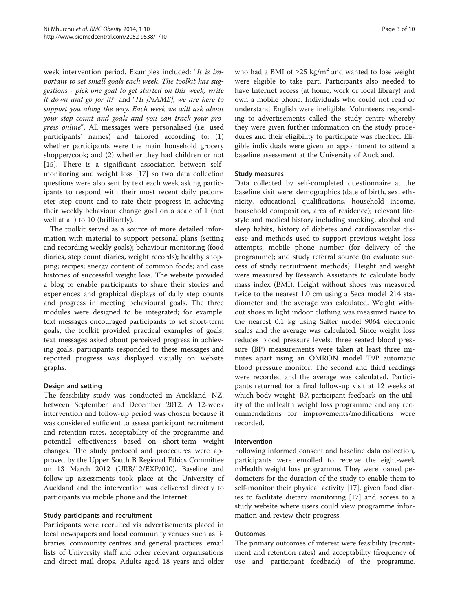week intervention period. Examples included: "It is important to set small goals each week. The toolkit has suggestions - pick one goal to get started on this week, write it down and go for it." and "Hi [NAME], we are here to support you along the way. Each week we will ask about your step count and goals and you can track your progress online". All messages were personalised (i.e. used participants' names) and tailored according to: (1) whether participants were the main household grocery shopper/cook; and (2) whether they had children or not [[15\]](#page-9-0). There is a significant association between selfmonitoring and weight loss [[17\]](#page-9-0) so two data collection questions were also sent by text each week asking participants to respond with their most recent daily pedometer step count and to rate their progress in achieving their weekly behaviour change goal on a scale of 1 (not well at all) to 10 (brilliantly).

The toolkit served as a source of more detailed information with material to support personal plans (setting and recording weekly goals); behaviour monitoring (food diaries, step count diaries, weight records); healthy shopping; recipes; energy content of common foods; and case histories of successful weight loss. The website provided a blog to enable participants to share their stories and experiences and graphical displays of daily step counts and progress in meeting behavioural goals. The three modules were designed to be integrated; for example, text messages encouraged participants to set short-term goals, the toolkit provided practical examples of goals, text messages asked about perceived progress in achieving goals, participants responded to these messages and reported progress was displayed visually on website graphs.

## Design and setting

The feasibility study was conducted in Auckland, NZ, between September and December 2012. A 12-week intervention and follow-up period was chosen because it was considered sufficient to assess participant recruitment and retention rates, acceptability of the programme and potential effectiveness based on short-term weight changes. The study protocol and procedures were approved by the Upper South B Regional Ethics Committee on 13 March 2012 (URB/12/EXP/010). Baseline and follow-up assessments took place at the University of Auckland and the intervention was delivered directly to participants via mobile phone and the Internet.

#### Study participants and recruitment

Participants were recruited via advertisements placed in local newspapers and local community venues such as libraries, community centres and general practices, email lists of University staff and other relevant organisations and direct mail drops. Adults aged 18 years and older

who had a BMI of  $\geq$ 25 kg/m<sup>2</sup> and wanted to lose weight were eligible to take part. Participants also needed to have Internet access (at home, work or local library) and own a mobile phone. Individuals who could not read or understand English were ineligible. Volunteers responding to advertisements called the study centre whereby they were given further information on the study procedures and their eligibility to participate was checked. Eligible individuals were given an appointment to attend a baseline assessment at the University of Auckland.

#### Study measures

Data collected by self-completed questionnaire at the baseline visit were: demographics (date of birth, sex, ethnicity, educational qualifications, household income, household composition, area of residence); relevant lifestyle and medical history including smoking, alcohol and sleep habits, history of diabetes and cardiovascular disease and methods used to support previous weight loss attempts; mobile phone number (for delivery of the programme); and study referral source (to evaluate success of study recruitment methods). Height and weight were measured by Research Assistants to calculate body mass index (BMI). Height without shoes was measured twice to the nearest 1.0 cm using a Seca model 214 stadiometer and the average was calculated. Weight without shoes in light indoor clothing was measured twice to the nearest 0.1 kg using Salter model 9064 electronic scales and the average was calculated. Since weight loss reduces blood pressure levels, three seated blood pressure (BP) measurements were taken at least three minutes apart using an OMRON model T9P automatic blood pressure monitor. The second and third readings were recorded and the average was calculated. Participants returned for a final follow-up visit at 12 weeks at which body weight, BP, participant feedback on the utility of the mHealth weight loss programme and any recommendations for improvements/modifications were recorded.

#### Intervention

Following informed consent and baseline data collection, participants were enrolled to receive the eight-week mHealth weight loss programme. They were loaned pedometers for the duration of the study to enable them to self-monitor their physical activity [[17](#page-9-0)], given food diaries to facilitate dietary monitoring [[17\]](#page-9-0) and access to a study website where users could view programme information and review their progress.

#### Outcomes

The primary outcomes of interest were feasibility (recruitment and retention rates) and acceptability (frequency of use and participant feedback) of the programme.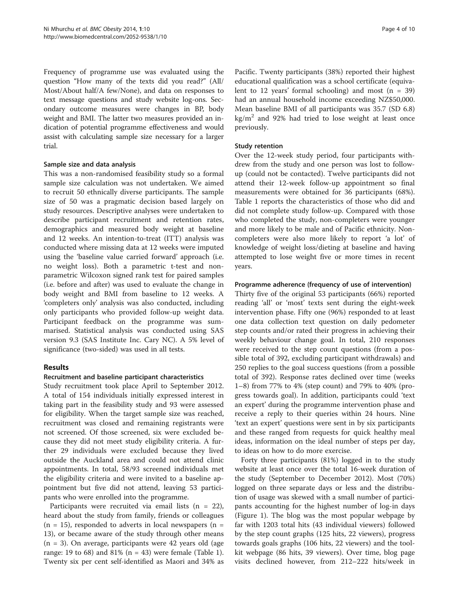Frequency of programme use was evaluated using the question "How many of the texts did you read?" (All/ Most/About half/A few/None), and data on responses to text message questions and study website log-ons. Secondary outcome measures were changes in BP, body weight and BMI. The latter two measures provided an indication of potential programme effectiveness and would assist with calculating sample size necessary for a larger trial.

#### Sample size and data analysis

This was a non-randomised feasibility study so a formal sample size calculation was not undertaken. We aimed to recruit 50 ethnically diverse participants. The sample size of 50 was a pragmatic decision based largely on study resources. Descriptive analyses were undertaken to describe participant recruitment and retention rates, demographics and measured body weight at baseline and 12 weeks. An intention-to-treat (ITT) analysis was conducted where missing data at 12 weeks were imputed using the 'baseline value carried forward' approach (i.e. no weight loss). Both a parametric t-test and nonparametric Wilcoxon signed rank test for paired samples (i.e. before and after) was used to evaluate the change in body weight and BMI from baseline to 12 weeks. A 'completers only' analysis was also conducted, including only participants who provided follow-up weight data. Participant feedback on the programme was summarised. Statistical analysis was conducted using SAS version 9.3 (SAS Institute Inc. Cary NC). A 5% level of significance (two-sided) was used in all tests.

## Results

## Recruitment and baseline participant characteristics

Study recruitment took place April to September 2012. A total of 154 individuals initially expressed interest in taking part in the feasibility study and 93 were assessed for eligibility. When the target sample size was reached, recruitment was closed and remaining registrants were not screened. Of those screened, six were excluded because they did not meet study eligibility criteria. A further 29 individuals were excluded because they lived outside the Auckland area and could not attend clinic appointments. In total, 58/93 screened individuals met the eligibility criteria and were invited to a baseline appointment but five did not attend, leaving 53 participants who were enrolled into the programme.

Participants were recruited via email lists  $(n = 22)$ , heard about the study from family, friends or colleagues  $(n = 15)$ , responded to adverts in local newspapers  $(n = 15)$ 13), or became aware of the study through other means  $(n = 3)$ . On average, participants were 42 years old (age) range: [1](#page-4-0)9 to 68) and 81%  $(n = 43)$  were female (Table 1). Twenty six per cent self-identified as Maori and 34% as

Pacific. Twenty participants (38%) reported their highest educational qualification was a school certificate (equivalent to 12 years' formal schooling) and most  $(n = 39)$ had an annual household income exceeding NZ\$50,000. Mean baseline BMI of all participants was 35.7 (SD 6.8)  $kg/m<sup>2</sup>$  and 92% had tried to lose weight at least once previously.

### Study retention

Over the 12-week study period, four participants withdrew from the study and one person was lost to followup (could not be contacted). Twelve participants did not attend their 12-week follow-up appointment so final measurements were obtained for 36 participants (68%). Table [1](#page-4-0) reports the characteristics of those who did and did not complete study follow-up. Compared with those who completed the study, non-completers were younger and more likely to be male and of Pacific ethnicity. Noncompleters were also more likely to report 'a lot' of knowledge of weight loss/dieting at baseline and having attempted to lose weight five or more times in recent years.

## Programme adherence (frequency of use of intervention)

Thirty five of the original 53 participants (66%) reported reading 'all' or 'most' texts sent during the eight-week intervention phase. Fifty one (96%) responded to at least one data collection text question on daily pedometer step counts and/or rated their progress in achieving their weekly behaviour change goal. In total, 210 responses were received to the step count questions (from a possible total of 392, excluding participant withdrawals) and 250 replies to the goal success questions (from a possible total of 392). Response rates declined over time (weeks 1–8) from 77% to 4% (step count) and 79% to 40% (progress towards goal). In addition, participants could 'text an expert' during the programme intervention phase and receive a reply to their queries within 24 hours. Nine 'text an expert' questions were sent in by six participants and these ranged from requests for quick healthy meal ideas, information on the ideal number of steps per day, to ideas on how to do more exercise.

Forty three participants (81%) logged in to the study website at least once over the total 16-week duration of the study (September to December 2012). Most (70%) logged on three separate days or less and the distribution of usage was skewed with a small number of participants accounting for the highest number of log-in days (Figure [1\)](#page-5-0). The blog was the most popular webpage by far with 1203 total hits (43 individual viewers) followed by the step count graphs (125 hits, 22 viewers), progress towards goals graphs (106 hits, 22 viewers) and the toolkit webpage (86 hits, 39 viewers). Over time, blog page visits declined however, from 212–222 hits/week in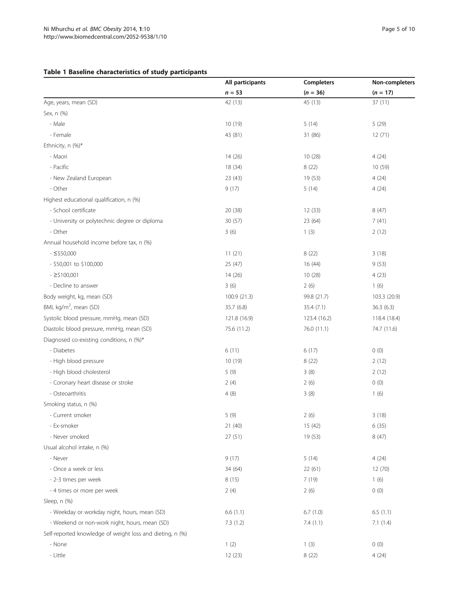## <span id="page-4-0"></span>Table 1 Baseline characteristics of study participants

|                                                           | All participants | Completers   | Non-completers |
|-----------------------------------------------------------|------------------|--------------|----------------|
|                                                           | $n = 53$         | $(n = 36)$   | $(n = 17)$     |
| Age, years, mean (SD)                                     | 42 (13)          | 45 (13)      | 37(11)         |
| Sex, n (%)                                                |                  |              |                |
| - Male                                                    | 10 (19)          | 5(14)        | 5(29)          |
| - Female                                                  | 43 (81)          | 31 (86)      | 12(71)         |
| Ethnicity, n (%)*                                         |                  |              |                |
| - Maori                                                   | 14 (26)          | 10 (28)      | 4(24)          |
| - Pacific                                                 | 18 (34)          | 8(22)        | 10 (59)        |
| - New Zealand European                                    | 23(43)           | 19 (53)      | 4(24)          |
| - Other                                                   | 9(17)            | 5(14)        | 4(24)          |
| Highest educational qualification, n (%)                  |                  |              |                |
| - School certificate                                      | 20 (38)          | 12(33)       | 8(47)          |
| - University or polytechnic degree or diploma             | 30 (57)          | 23 (64)      | 7(41)          |
| - Other                                                   | 3(6)             | 1(3)         | 2(12)          |
| Annual household income before tax, n (%)                 |                  |              |                |
| $ \leq$ \$50,000                                          | 11(21)           | 8(22)        | 3(18)          |
| $-$ \$50,001 to \$100,000                                 | 25(47)           | 16(44)       | 9(53)          |
| $-2$ \$100,001                                            | 14(26)           | 10(28)       | 4(23)          |
| - Decline to answer                                       | 3(6)             | 2(6)         | 1(6)           |
| Body weight, kg, mean (SD)                                | 100.9 (21.3)     | 99.8 (21.7)  | 103.3 (20.9)   |
| BMI, kg/m <sup>2</sup> , mean (SD)                        | 35.7 (6.8)       | 35.4 (7.1)   | 36.3(6.3)      |
| Systolic blood pressure, mmHg, mean (SD)                  | 121.8 (16.9)     | 123.4 (16.2) | 118.4 (18.4)   |
| Diastolic blood pressure, mmHg, mean (SD)                 | 75.6 (11.2)      | 76.0 (11.1)  | 74.7 (11.6)    |
| Diagnosed co-existing conditions, n (%)*                  |                  |              |                |
| - Diabetes                                                | 6(11)            | 6(17)        | 0(0)           |
| - High blood pressure                                     | 10 (19)          | 8(22)        | 2(12)          |
| - High blood cholesterol                                  | 5(9)             | 3(8)         | 2(12)          |
| - Coronary heart disease or stroke                        | 2(4)             | 2(6)         | 0(0)           |
| - Osteoarthritis                                          | 4(8)             | 3(8)         | 1(6)           |
| Smoking status, n (%)                                     |                  |              |                |
| - Current smoker                                          | 5(9)             | 2(6)         | 3(18)          |
| - Ex-smoker                                               | 21(40)           | 15 (42)      | 6(35)          |
| - Never smoked                                            | 27(51)           | 19 (53)      | 8(47)          |
| Usual alcohol intake, n (%)                               |                  |              |                |
| - Never                                                   | 9(17)            | 5(14)        | 4(24)          |
| - Once a week or less                                     | 34 (64)          | 22(61)       | 12 (70)        |
| - 2-3 times per week                                      | 8(15)            | 7(19)        | 1(6)           |
| - 4 times or more per week                                | 2(4)             | 2(6)         | 0(0)           |
| Sleep, n (%)                                              |                  |              |                |
| - Weekday or workday night, hours, mean (SD)              | 6.6(1.1)         | 6.7(1.0)     | 6.5(1.1)       |
| - Weekend or non-work night, hours, mean (SD)             | 7.3(1.2)         | 7.4(1.1)     | 7.1(1.4)       |
| Self-reported knowledge of weight loss and dieting, n (%) |                  |              |                |
| - None                                                    | 1(2)             | 1(3)         | 0(0)           |
| - Little                                                  | 12 (23)          | 8 (22)       | 4(24)          |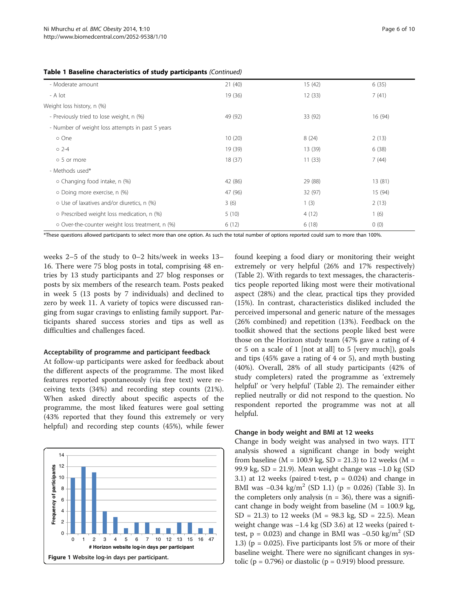<span id="page-5-0"></span>Table 1 Baseline characteristics of study participants (Continued)

| 21(40)<br>- Moderate amount<br>- A lot<br>19 (36)<br>Weight loss history, n (%) | 15(42)<br>12(33) | 6(35)<br>7(41) |
|---------------------------------------------------------------------------------|------------------|----------------|
|                                                                                 |                  |                |
|                                                                                 |                  |                |
|                                                                                 |                  |                |
| - Previously tried to lose weight, n (%)<br>49 (92)                             | 33 (92)          | 16(94)         |
| - Number of weight loss attempts in past 5 years                                |                  |                |
| o One<br>10(20)                                                                 | 8(24)            | 2(13)          |
| $02-4$<br>19 (39)                                                               | 13 (39)          | 6(38)          |
| 18(37)<br>o 5 or more                                                           | 11(33)           | 7(44)          |
| - Methods used*                                                                 |                  |                |
| o Changing food intake, n (%)<br>42 (86)                                        | 29 (88)          | 13 (81)        |
| o Doing more exercise, n (%)<br>47 (96)                                         | 32(97)           | 15 (94)        |
| o Use of laxatives and/or diuretics, n (%)<br>3(6)                              | 1(3)             | 2(13)          |
| o Prescribed weight loss medication, n (%)<br>5(10)                             | 4(12)            | 1(6)           |
| o Over-the-counter weight loss treatment, n (%)<br>6(12)                        | 6(18)            | 0(0)           |

\*These questions allowed participants to select more than one option. As such the total number of options reported could sum to more than 100%.

weeks 2–5 of the study to 0–2 hits/week in weeks 13– 16. There were 75 blog posts in total, comprising 48 entries by 13 study participants and 27 blog responses or posts by six members of the research team. Posts peaked in week 5 (13 posts by 7 individuals) and declined to zero by week 11. A variety of topics were discussed ranging from sugar cravings to enlisting family support. Participants shared success stories and tips as well as difficulties and challenges faced.

#### Acceptability of programme and participant feedback

At follow-up participants were asked for feedback about the different aspects of the programme. The most liked features reported spontaneously (via free text) were receiving texts (34%) and recording step counts (21%). When asked directly about specific aspects of the programme, the most liked features were goal setting (43% reported that they found this extremely or very helpful) and recording step counts (45%), while fewer



found keeping a food diary or monitoring their weight extremely or very helpful (26% and 17% respectively) (Table [2\)](#page-6-0). With regards to text messages, the characteristics people reported liking most were their motivational aspect (28%) and the clear, practical tips they provided (15%). In contrast, characteristics disliked included the perceived impersonal and generic nature of the messages (26% combined) and repetition (13%). Feedback on the toolkit showed that the sections people liked best were those on the Horizon study team (47% gave a rating of 4 or 5 on a scale of 1 [not at all] to 5 [very much]), goals and tips (45% gave a rating of 4 or 5), and myth busting (40%). Overall, 28% of all study participants (42% of study completers) rated the programme as 'extremely helpful' or 'very helpful' (Table [2\)](#page-6-0). The remainder either replied neutrally or did not respond to the question. No respondent reported the programme was not at all helpful.

#### Change in body weight and BMI at 12 weeks

Change in body weight was analysed in two ways. ITT analysis showed a significant change in body weight from baseline ( $M = 100.9$  kg,  $SD = 21.3$ ) to 12 weeks ( $M =$ 99.9 kg, SD = 21.9). Mean weight change was −1.0 kg (SD 3.1) at 12 weeks (paired t-test,  $p = 0.024$ ) and change in BMI was  $-0.34 \text{ kg/m}^2$  (SD 1.1) (p = 0.026) (Table [3](#page-8-0)). In the completers only analysis ( $n = 36$ ), there was a significant change in body weight from baseline  $(M = 100.9$  kg, SD = 21.3) to 12 weeks ( $M = 98.3$  kg, SD = 22.5). Mean weight change was −1.4 kg (SD 3.6) at 12 weeks (paired ttest,  $p = 0.023$ ) and change in BMI was  $-0.50 \text{ kg/m}^2 \text{ (SD)}$ 1.3) ( $p = 0.025$ ). Five participants lost 5% or more of their baseline weight. There were no significant changes in systolic ( $p = 0.796$ ) or diastolic ( $p = 0.919$ ) blood pressure.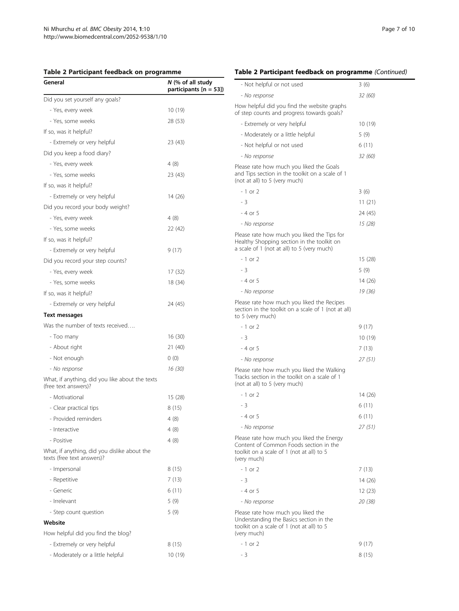## <span id="page-6-0"></span>Table 2 Participant feedback on programme

| General                                                                    | $N$ (% of all study<br>participants [n = 53]) |
|----------------------------------------------------------------------------|-----------------------------------------------|
| Did you set yourself any goals?                                            |                                               |
| - Yes, every week                                                          | 10 (19)                                       |
| - Yes, some weeks                                                          | 28 (53)                                       |
| If so, was it helpful?                                                     |                                               |
| - Extremely or very helpful                                                | 23 (43)                                       |
| Did you keep a food diary?                                                 |                                               |
| - Yes, every week                                                          | 4 (8)                                         |
| - Yes, some weeks                                                          | 23 (43)                                       |
| If so, was it helpful?                                                     |                                               |
| - Extremely or very helpful                                                | 14 (26)                                       |
| Did you record your body weight?                                           |                                               |
| - Yes, every week                                                          | 4 (8)                                         |
| - Yes, some weeks                                                          | 22 (42)                                       |
| If so, was it helpful?                                                     |                                               |
| - Extremely or very helpful                                                | 9 (17)                                        |
| Did you record your step counts?                                           |                                               |
| - Yes, every week                                                          | 17 (32)                                       |
| - Yes, some weeks                                                          | 18 (34)                                       |
| If so, was it helpful?                                                     |                                               |
| - Extremely or very helpful                                                | 24 (45)                                       |
| <b>Text messages</b>                                                       |                                               |
| Was the number of texts received                                           |                                               |
| - Too many                                                                 | 16 (30)                                       |
| - About right                                                              | 21 (40)                                       |
| - Not enough                                                               | 0(0)                                          |
| - No response                                                              | 16 (30)                                       |
| What, if anything, did you like about the texts<br>(free text answers)?    |                                               |
| - Motivational                                                             | 15 (28)                                       |
| - Clear practical tips                                                     | 8 (15)                                        |
| - Provided reminders                                                       | 4(8)                                          |
| - Interactive                                                              | 4(8)                                          |
| - Positive                                                                 | 4(8)                                          |
| What, if anything, did you dislike about the<br>texts (free text answers)? |                                               |
| - Impersonal                                                               | 8 (15)                                        |
| - Repetitive                                                               | 7(13)                                         |
| - Generic                                                                  | 6 (11)                                        |
| - Irrelevant                                                               | 5(9)                                          |
| - Step count question                                                      | 5(9)                                          |
| Website                                                                    |                                               |
| How helpful did you find the blog?                                         |                                               |
| - Extremely or very helpful                                                | 8 (15)                                        |
| - Moderately or a little helpful                                           | 10 (19)                                       |
|                                                                            |                                               |

# Table 2 Participant feedback on programme (Continued)

| - Not helpful or not used                                                                                                                       | 3 (6)   |
|-------------------------------------------------------------------------------------------------------------------------------------------------|---------|
| - No response                                                                                                                                   | 32 (60) |
| How helpful did you find the website graphs<br>of step counts and progress towards goals?                                                       |         |
| - Extremely or very helpful                                                                                                                     | 10 (19) |
| - Moderately or a little helpful                                                                                                                | 5 (9)   |
| - Not helpful or not used                                                                                                                       | 6 (11)  |
| - No response                                                                                                                                   | 32 (60) |
| Please rate how much you liked the Goals<br>and Tips section in the toolkit on a scale of 1<br>(not at all) to 5 (very much)                    |         |
| $-1$ or 2                                                                                                                                       | 3 (6)   |
| - 3                                                                                                                                             | 11 (21) |
| - 4 or 5                                                                                                                                        | 24 (45) |
| - No response                                                                                                                                   | 15 (28) |
| Please rate how much you liked the Tips for<br>Healthy Shopping section in the toolkit on<br>a scale of 1 (not at all) to 5 (very much)         |         |
| $-1$ or 2                                                                                                                                       | 15 (28) |
| - 3                                                                                                                                             | 5 (9)   |
| - 4 or 5                                                                                                                                        | 14 (26) |
| - No response                                                                                                                                   | 19 (36) |
| Please rate how much you liked the Recipes<br>section in the toolkit on a scale of 1 (not at all)<br>to 5 (very much)                           |         |
| $-1$ or 2                                                                                                                                       | 9 (17)  |
| - 3                                                                                                                                             | 10 (19) |
| - 4 or 5                                                                                                                                        | 7 (13)  |
| - No response                                                                                                                                   | 27 (51) |
| Please rate how much you liked the Walking<br>Tracks section in the toolkit on a scale of 1<br>(not at all) to 5 (very much)                    |         |
| - 1 or 2                                                                                                                                        | 14 (26) |
| - 3                                                                                                                                             | 6 (11)  |
| - 4 or 5                                                                                                                                        | 6 (11)  |
| - No response                                                                                                                                   | 27 (51) |
| Please rate how much you liked the Energy<br>Content of Common Foods section in the<br>toolkit on a scale of 1 (not at all) to 5<br>(very much) |         |
| $-1$ or 2                                                                                                                                       | 7(13)   |
| - 3                                                                                                                                             | 14 (26) |
| $-4$ or 5                                                                                                                                       | 12 (23) |
| - No response                                                                                                                                   | 20 (38) |
| Please rate how much you liked the<br>Understanding the Basics section in the<br>toolkit on a scale of 1 (not at all) to 5<br>(very much)       |         |
| $-1$ or 2                                                                                                                                       | 9 (17)  |
| - 3                                                                                                                                             | 8 (15)  |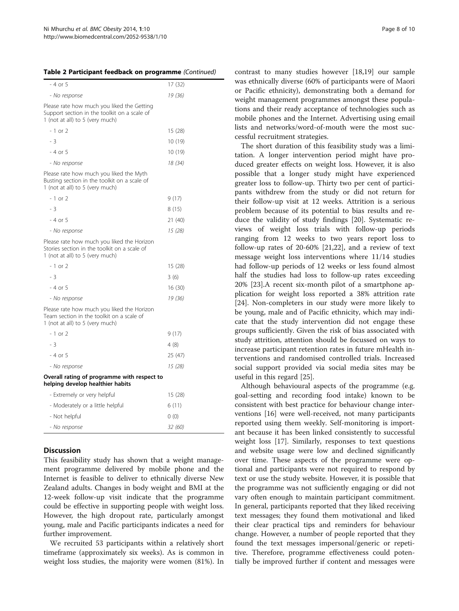| Table 2 Participant feedback on programme (Continued) |  |  |  |
|-------------------------------------------------------|--|--|--|
|-------------------------------------------------------|--|--|--|

| - 4 or 5                                                                                                                      | 17 (32) |
|-------------------------------------------------------------------------------------------------------------------------------|---------|
| - No response                                                                                                                 | 19 (36) |
| Please rate how much you liked the Getting<br>Support section in the toolkit on a scale of<br>1 (not at all) to 5 (very much) |         |
| $-1$ or $2$                                                                                                                   | 15 (28) |
| - 3                                                                                                                           | 10 (19) |
| - 4 or 5                                                                                                                      | 10 (19) |
| - No response                                                                                                                 | 18 (34) |
| Please rate how much you liked the Myth<br>Busting section in the toolkit on a scale of<br>1 (not at all) to 5 (very much)    |         |
| $-1$ or 2                                                                                                                     | 9(17)   |
| $-3$                                                                                                                          | 8 (15)  |
| $-4$ or 5                                                                                                                     | 21 (40) |
| - No response                                                                                                                 | 15 (28) |
| Please rate how much you liked the Horizon<br>Stories section in the toolkit on a scale of<br>1 (not at all) to 5 (very much) |         |
| $-1$ or 2                                                                                                                     | 15 (28) |
| $-3$                                                                                                                          | 3 (6)   |
| - 4 or 5                                                                                                                      | 16 (30) |
| - No response                                                                                                                 | 19 (36) |
| Please rate how much you liked the Horizon<br>Team section in the toolkit on a scale of<br>1 (not at all) to 5 (very much)    |         |
| $-1$ or $2$                                                                                                                   | 9(17)   |
| - 3                                                                                                                           | 4 (8)   |
| - 4 or 5                                                                                                                      | 25 (47) |
| - No response                                                                                                                 | 15 (28) |
| Overall rating of programme with respect to<br>helping develop healthier habits                                               |         |
| - Extremely or very helpful                                                                                                   | 15 (28) |
| - Moderately or a little helpful                                                                                              | 6 (11)  |
| - Not helpful                                                                                                                 | 0(0)    |
| - No response                                                                                                                 | 32 (60) |
|                                                                                                                               |         |

## **Discussion**

This feasibility study has shown that a weight management programme delivered by mobile phone and the Internet is feasible to deliver to ethnically diverse New Zealand adults. Changes in body weight and BMI at the 12-week follow-up visit indicate that the programme could be effective in supporting people with weight loss. However, the high dropout rate, particularly amongst young, male and Pacific participants indicates a need for further improvement.

We recruited 53 participants within a relatively short timeframe (approximately six weeks). As is common in weight loss studies, the majority were women (81%). In contrast to many studies however [[18,19](#page-9-0)] our sample was ethnically diverse (60% of participants were of Maori or Pacific ethnicity), demonstrating both a demand for weight management programmes amongst these populations and their ready acceptance of technologies such as mobile phones and the Internet. Advertising using email lists and networks/word-of-mouth were the most successful recruitment strategies.

The short duration of this feasibility study was a limitation. A longer intervention period might have produced greater effects on weight loss. However, it is also possible that a longer study might have experienced greater loss to follow-up. Thirty two per cent of participants withdrew from the study or did not return for their follow-up visit at 12 weeks. Attrition is a serious problem because of its potential to bias results and reduce the validity of study findings [\[20\]](#page-9-0). Systematic reviews of weight loss trials with follow-up periods ranging from 12 weeks to two years report loss to follow-up rates of 20-60% [\[21,22\]](#page-9-0), and a review of text message weight loss interventions where 11/14 studies had follow-up periods of 12 weeks or less found almost half the studies had loss to follow-up rates exceeding 20% [\[23](#page-9-0)].A recent six-month pilot of a smartphone application for weight loss reported a 38% attrition rate [[24\]](#page-9-0). Non-completers in our study were more likely to be young, male and of Pacific ethnicity, which may indicate that the study intervention did not engage these groups sufficiently. Given the risk of bias associated with study attrition, attention should be focussed on ways to increase participant retention rates in future mHealth interventions and randomised controlled trials. Increased social support provided via social media sites may be useful in this regard [[25\]](#page-9-0).

Although behavioural aspects of the programme (e.g. goal-setting and recording food intake) known to be consistent with best practice for behaviour change interventions [\[16](#page-9-0)] were well-received, not many participants reported using them weekly. Self-monitoring is important because it has been linked consistently to successful weight loss [[17](#page-9-0)]. Similarly, responses to text questions and website usage were low and declined significantly over time. These aspects of the programme were optional and participants were not required to respond by text or use the study website. However, it is possible that the programme was not sufficiently engaging or did not vary often enough to maintain participant commitment. In general, participants reported that they liked receiving text messages; they found them motivational and liked their clear practical tips and reminders for behaviour change. However, a number of people reported that they found the text messages impersonal/generic or repetitive. Therefore, programme effectiveness could potentially be improved further if content and messages were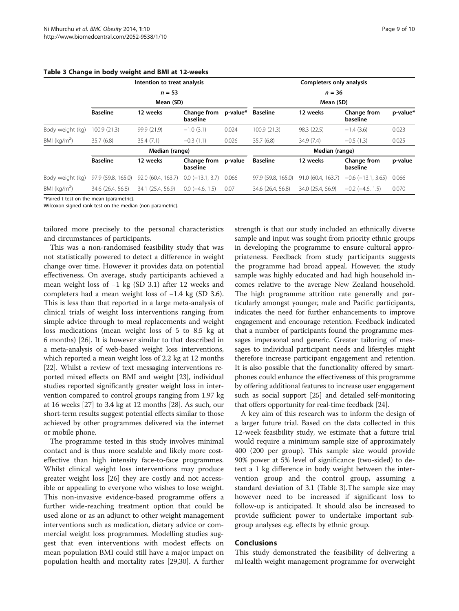|                  |                    | Intention to treat analysis |                         |          |                    | Completers only analysis |                          |          |
|------------------|--------------------|-----------------------------|-------------------------|----------|--------------------|--------------------------|--------------------------|----------|
|                  |                    | $n = 53$                    |                         |          |                    | $n = 36$                 |                          |          |
|                  | Mean (SD)          |                             |                         |          | Mean (SD)          |                          |                          |          |
|                  | <b>Baseline</b>    | 12 weeks                    | Change from<br>baseline | p-value* | <b>Baseline</b>    | 12 weeks                 | Change from<br>baseline  | p-value* |
| Body weight (kg) | 100.9 (21.3)       | 99.9 (21.9)                 | $-1.0(3.1)$             | 0.024    | 100.9(21.3)        | 98.3 (22.5)              | $-1.4(3.6)$              | 0.023    |
| BMI ( $kg/m2$ )  | 35.7(6.8)          | 35.4(7.1)                   | $-0.3(1.1)$             | 0.026    | 35.7(6.8)          | 34.9 (7.4)               | $-0.5(1.3)$              | 0.025    |
|                  | Median (range)     |                             |                         |          | Median (range)     |                          |                          |          |
|                  | <b>Baseline</b>    | 12 weeks                    | Change from<br>baseline | p-value  | <b>Baseline</b>    | 12 weeks                 | Change from<br>baseline  | p-value  |
| Body weight (kg) | 97.9 (59.8, 165.0) | 92.0 (60.4, 163.7)          | $0.0$ (-13.1, 3.7)      | 0.066    | 97.9 (59.8, 165.0) | 91.0 (60.4, 163.7)       | $-0.6$ ( $-13.1$ , 3.65) | 0.066    |
| BMI ( $kg/m2$ )  | 34.6 (26.4, 56.8)  | 34.1 (25.4, 56.9)           | $0.0$ (-4.6, 1.5)       | 0.07     | 34.6 (26.4, 56.8)  | 34.0 (25.4, 56.9)        | $-0.2$ ( $-4.6$ , 1.5)   | 0.070    |

#### <span id="page-8-0"></span>Table 3 Change in body weight and BMI at 12-weeks

\*Paired t-test on the mean (parametric).

Wilcoxon signed rank test on the median (non-parametric).

tailored more precisely to the personal characteristics and circumstances of participants.

This was a non-randomised feasibility study that was not statistically powered to detect a difference in weight change over time. However it provides data on potential effectiveness. On average, study participants achieved a mean weight loss of −1 kg (SD 3.1) after 12 weeks and completers had a mean weight loss of −1.4 kg (SD 3.6). This is less than that reported in a large meta-analysis of clinical trials of weight loss interventions ranging from simple advice through to meal replacements and weight loss medications (mean weight loss of 5 to 8.5 kg at 6 months) [\[26\]](#page-9-0). It is however similar to that described in a meta-analysis of web-based weight loss interventions, which reported a mean weight loss of 2.2 kg at 12 months [[22](#page-9-0)]. Whilst a review of text messaging interventions reported mixed effects on BMI and weight [\[23](#page-9-0)], individual studies reported significantly greater weight loss in intervention compared to control groups ranging from 1.97 kg at 16 weeks [\[27](#page-9-0)] to 3.4 kg at 12 months [\[28\]](#page-9-0). As such, our short-term results suggest potential effects similar to those achieved by other programmes delivered via the internet or mobile phone.

The programme tested in this study involves minimal contact and is thus more scalable and likely more costeffective than high intensity face-to-face programmes. Whilst clinical weight loss interventions may produce greater weight loss [[26](#page-9-0)] they are costly and not accessible or appealing to everyone who wishes to lose weight. This non-invasive evidence-based programme offers a further wide-reaching treatment option that could be used alone or as an adjunct to other weight management interventions such as medication, dietary advice or commercial weight loss programmes. Modelling studies suggest that even interventions with modest effects on mean population BMI could still have a major impact on population health and mortality rates [\[29,30](#page-9-0)]. A further strength is that our study included an ethnically diverse sample and input was sought from priority ethnic groups in developing the programme to ensure cultural appropriateness. Feedback from study participants suggests the programme had broad appeal. However, the study sample was highly educated and had high household incomes relative to the average New Zealand household. The high programme attrition rate generally and particularly amongst younger, male and Pacific participants, indicates the need for further enhancements to improve engagement and encourage retention. Feedback indicated that a number of participants found the programme messages impersonal and generic. Greater tailoring of messages to individual participant needs and lifestyles might therefore increase participant engagement and retention. It is also possible that the functionality offered by smartphones could enhance the effectiveness of this programme by offering additional features to increase user engagement such as social support [\[25\]](#page-9-0) and detailed self-monitoring that offers opportunity for real-time feedback [[24](#page-9-0)].

A key aim of this research was to inform the design of a larger future trial. Based on the data collected in this 12-week feasibility study, we estimate that a future trial would require a minimum sample size of approximately 400 (200 per group). This sample size would provide 90% power at 5% level of significance (two-sided) to detect a 1 kg difference in body weight between the intervention group and the control group, assuming a standard deviation of 3.1 (Table 3).The sample size may however need to be increased if significant loss to follow-up is anticipated. It should also be increased to provide sufficient power to undertake important subgroup analyses e.g. effects by ethnic group.

#### Conclusions

This study demonstrated the feasibility of delivering a mHealth weight management programme for overweight